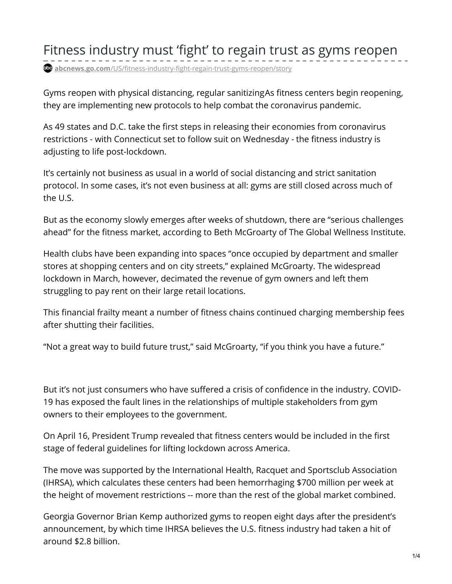Fitness industry must 'fight' to regain trust as gyms reopen

**abcnews.go.com**[/US/fitness-industry-fight-regain-trust-gyms-reopen/story](https://abcnews.go.com/US/fitness-industry-fight-regain-trust-gyms-reopen/story?id=70742734)

Gyms reopen with physical distancing, regular sanitizingAs fitness centers begin reopening, they are implementing new protocols to help combat the coronavirus pandemic.

As 49 states and D.C. take the first steps in releasing their economies from coronavirus restrictions - with Connecticut set to follow suit on Wednesday - the fitness industry is adjusting to life post-lockdown.

It's certainly not business as usual in a world of social distancing and strict sanitation protocol. In some cases, it's not even business at all: gyms are still closed across much of the U.S.

But as the economy slowly emerges after weeks of shutdown, there are "serious challenges ahead" for the fitness market, according to Beth McGroarty of The Global Wellness Institute.

Health clubs have been expanding into spaces "once occupied by department and smaller stores at shopping centers and on city streets," explained McGroarty. The widespread lockdown in March, however, decimated the revenue of gym owners and left them struggling to pay rent on their large retail locations.

This financial frailty meant a number of fitness chains continued charging membership fees after shutting their facilities.

"Not a great way to build future trust," said McGroarty, "if you think you have a future."

But it's not just consumers who have suffered a crisis of confidence in the industry. COVID-19 has exposed the fault lines in the relationships of multiple stakeholders from gym owners to their employees to the government.

On April 16, President Trump revealed that fitness centers would be included in the first stage of federal guidelines for lifting lockdown across America.

The move was supported by the International Health, Racquet and Sportsclub Association (IHRSA), which calculates these centers had been hemorrhaging \$700 million per week at the height of movement restrictions -- more than the rest of the global market combined.

Georgia Governor Brian Kemp authorized gyms to reopen eight days after the president's announcement, by which time IHRSA believes the U.S. fitness industry had taken a hit of around \$2.8 billion.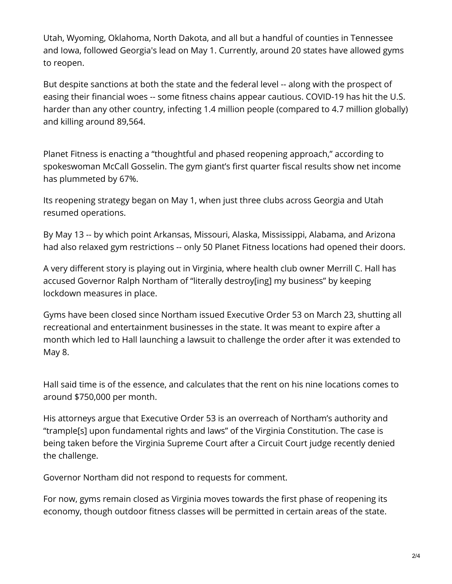Utah, Wyoming, Oklahoma, North Dakota, and all but a handful of counties in Tennessee and Iowa, followed Georgia's lead on May 1. Currently, around 20 states have allowed gyms to reopen.

But despite sanctions at both the state and the federal level -- along with the prospect of easing their financial woes -- some fitness chains appear cautious. COVID-19 has hit the U.S. harder than any other country, infecting 1.4 million people (compared to 4.7 million globally) and killing around 89,564.

Planet Fitness is enacting a "thoughtful and phased reopening approach," according to spokeswoman McCall Gosselin. The gym giant's first quarter fiscal results show net income has plummeted by 67%.

Its reopening strategy began on May 1, when just three clubs across Georgia and Utah resumed operations.

By May 13 -- by which point Arkansas, Missouri, Alaska, Mississippi, Alabama, and Arizona had also relaxed gym restrictions -- only 50 Planet Fitness locations had opened their doors.

A very different story is playing out in Virginia, where health club owner Merrill C. Hall has accused Governor Ralph Northam of "literally destroy[ing] my business" by keeping lockdown measures in place.

Gyms have been closed since Northam issued Executive Order 53 on March 23, shutting all recreational and entertainment businesses in the state. It was meant to expire after a month which led to Hall launching a lawsuit to challenge the order after it was extended to May 8.

Hall said time is of the essence, and calculates that the rent on his nine locations comes to around \$750,000 per month.

His attorneys argue that Executive Order 53 is an overreach of Northam's authority and "trample[s] upon fundamental rights and laws" of the Virginia Constitution. The case is being taken before the Virginia Supreme Court after a Circuit Court judge recently denied the challenge.

Governor Northam did not respond to requests for comment.

For now, gyms remain closed as Virginia moves towards the first phase of reopening its economy, though outdoor fitness classes will be permitted in certain areas of the state.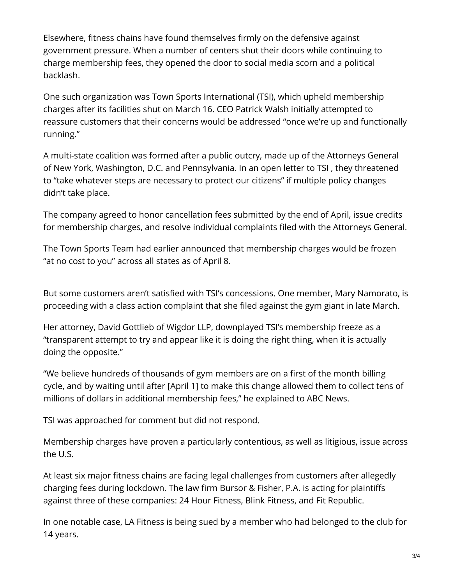Elsewhere, fitness chains have found themselves firmly on the defensive against government pressure. When a number of centers shut their doors while continuing to charge membership fees, they opened the door to social media scorn and a political backlash.

One such organization was Town Sports International (TSI), which upheld membership charges after its facilities shut on March 16. CEO Patrick Walsh initially attempted to reassure customers that their concerns would be addressed "once we're up and functionally running."

A multi-state coalition was formed after a public outcry, made up of the Attorneys General of New York, Washington, D.C. and Pennsylvania. In an open letter to TSI , they threatened to "take whatever steps are necessary to protect our citizens" if multiple policy changes didn't take place.

The company agreed to honor cancellation fees submitted by the end of April, issue credits for membership charges, and resolve individual complaints filed with the Attorneys General.

The Town Sports Team had earlier announced that membership charges would be frozen "at no cost to you" across all states as of April 8.

But some customers aren't satisfied with TSI's concessions. One member, Mary Namorato, is proceeding with a class action complaint that she filed against the gym giant in late March.

Her attorney, David Gottlieb of Wigdor LLP, downplayed TSI's membership freeze as a "transparent attempt to try and appear like it is doing the right thing, when it is actually doing the opposite."

"We believe hundreds of thousands of gym members are on a first of the month billing cycle, and by waiting until after [April 1] to make this change allowed them to collect tens of millions of dollars in additional membership fees," he explained to ABC News.

TSI was approached for comment but did not respond.

Membership charges have proven a particularly contentious, as well as litigious, issue across the U.S.

At least six major fitness chains are facing legal challenges from customers after allegedly charging fees during lockdown. The law firm Bursor & Fisher, P.A. is acting for plaintiffs against three of these companies: 24 Hour Fitness, Blink Fitness, and Fit Republic.

In one notable case, LA Fitness is being sued by a member who had belonged to the club for 14 years.